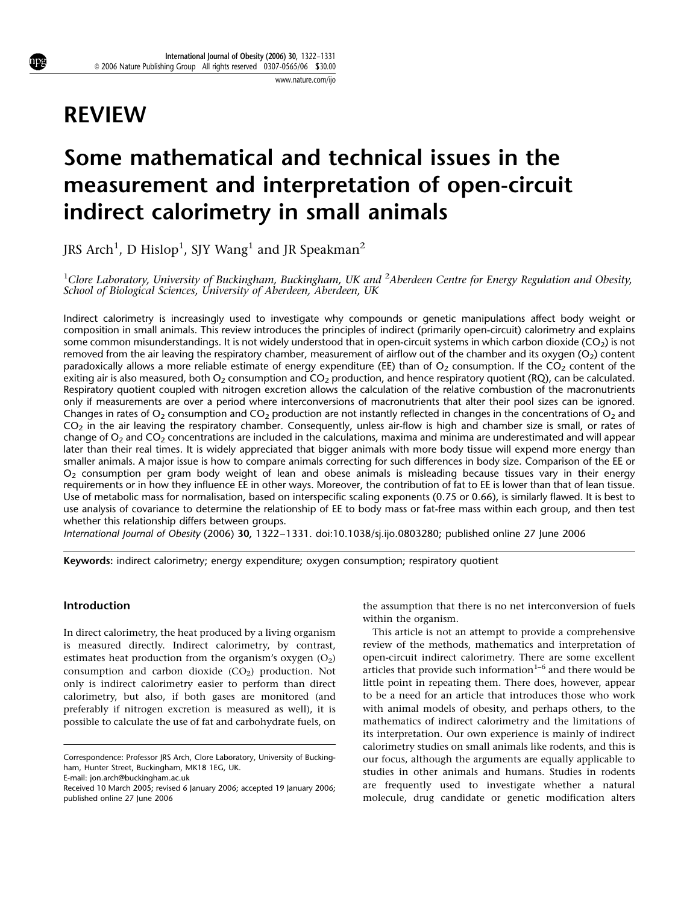www.nature.com/ijo

# REVIEW

# Some mathematical and technical issues in the measurement and interpretation of open-circuit indirect calorimetry in small animals

JRS Arch $^1$ , D Hislop $^1$ , SJY Wang $^1$  and JR Speakman $^2$ 

<sup>1</sup>Clore Laboratory, University of Buckingham, Buckingham, UK and <sup>2</sup>Aberdeen Centre for Energy Regulation and Obesity, School of Biological Sciences, University of Aberdeen, Aberdeen, UK

Indirect calorimetry is increasingly used to investigate why compounds or genetic manipulations affect body weight or composition in small animals. This review introduces the principles of indirect (primarily open-circuit) calorimetry and explains some common misunderstandings. It is not widely understood that in open-circuit systems in which carbon dioxide ( $CO<sub>2</sub>$ ) is not removed from the air leaving the respiratory chamber, measurement of airflow out of the chamber and its oxygen  $(O_2)$  content paradoxically allows a more reliable estimate of energy expenditure (EE) than of  $O_2$  consumption. If the  $CO_2$  content of the exiting air is also measured, both  $O_2$  consumption and  $CO_2$  production, and hence respiratory quotient (RQ), can be calculated. Respiratory quotient coupled with nitrogen excretion allows the calculation of the relative combustion of the macronutrients only if measurements are over a period where interconversions of macronutrients that alter their pool sizes can be ignored. Changes in rates of  $O_2$  consumption and  $CO_2$  production are not instantly reflected in changes in the concentrations of  $O_2$  and  $CO<sub>2</sub>$  in the air leaving the respiratory chamber. Consequently, unless air-flow is high and chamber size is small, or rates of change of  $O_2$  and  $CO_2$  concentrations are included in the calculations, maxima and minima are underestimated and will appear later than their real times. It is widely appreciated that bigger animals with more body tissue will expend more energy than smaller animals. A major issue is how to compare animals correcting for such differences in body size. Comparison of the EE or  $O<sub>2</sub>$  consumption per gram body weight of lean and obese animals is misleading because tissues vary in their energy requirements or in how they influence EE in other ways. Moreover, the contribution of fat to EE is lower than that of lean tissue. Use of metabolic mass for normalisation, based on interspecific scaling exponents (0.75 or 0.66), is similarly flawed. It is best to use analysis of covariance to determine the relationship of EE to body mass or fat-free mass within each group, and then test whether this relationship differs between groups.

International Journal of Obesity (2006) 30, 1322–1331. doi:10.1038/sj.ijo.0803280; published online 27 June 2006

Keywords: indirect calorimetry; energy expenditure; oxygen consumption; respiratory quotient

## Introduction

In direct calorimetry, the heat produced by a living organism is measured directly. Indirect calorimetry, by contrast, estimates heat production from the organism's oxygen  $(O_2)$ consumption and carbon dioxide  $(CO_2)$  production. Not only is indirect calorimetry easier to perform than direct calorimetry, but also, if both gases are monitored (and preferably if nitrogen excretion is measured as well), it is possible to calculate the use of fat and carbohydrate fuels, on

E-mail: jon.arch@buckingham.ac.uk

the assumption that there is no net interconversion of fuels within the organism.

This article is not an attempt to provide a comprehensive review of the methods, mathematics and interpretation of open-circuit indirect calorimetry. There are some excellent articles that provide such information<sup>1-6</sup> and there would be little point in repeating them. There does, however, appear to be a need for an article that introduces those who work with animal models of obesity, and perhaps others, to the mathematics of indirect calorimetry and the limitations of its interpretation. Our own experience is mainly of indirect calorimetry studies on small animals like rodents, and this is our focus, although the arguments are equally applicable to studies in other animals and humans. Studies in rodents are frequently used to investigate whether a natural molecule, drug candidate or genetic modification alters

Correspondence: Professor JRS Arch, Clore Laboratory, University of Buckingham, Hunter Street, Buckingham, MK18 1EG, UK.

Received 10 March 2005; revised 6 January 2006; accepted 19 January 2006; published online 27 June 2006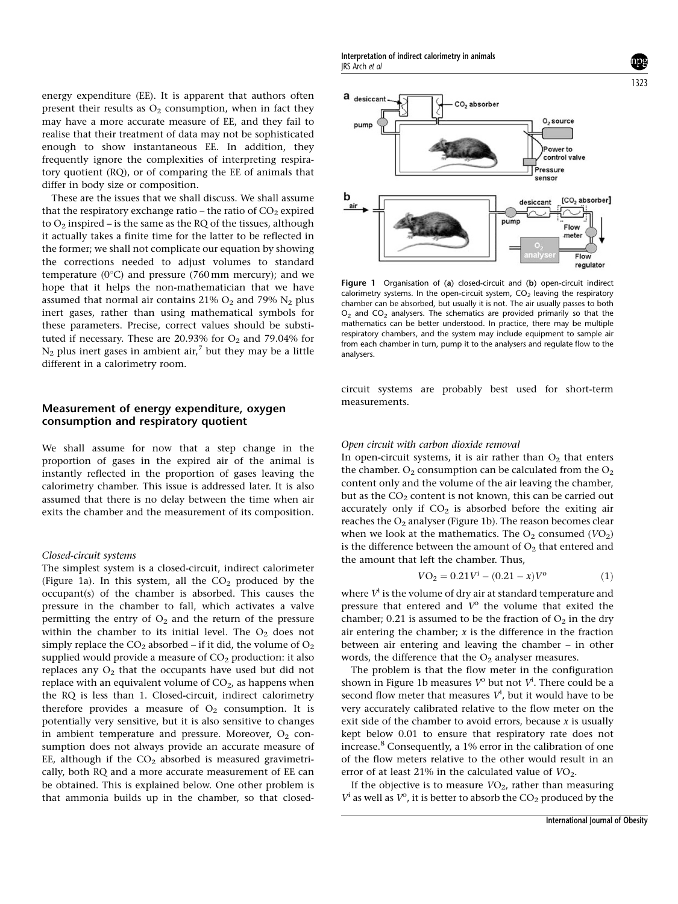energy expenditure (EE). It is apparent that authors often present their results as  $O_2$  consumption, when in fact they may have a more accurate measure of EE, and they fail to realise that their treatment of data may not be sophisticated enough to show instantaneous EE. In addition, they frequently ignore the complexities of interpreting respiratory quotient (RQ), or of comparing the EE of animals that differ in body size or composition.

These are the issues that we shall discuss. We shall assume that the respiratory exchange ratio – the ratio of  $CO<sub>2</sub>$  expired to  $O_2$  inspired – is the same as the RQ of the tissues, although it actually takes a finite time for the latter to be reflected in the former; we shall not complicate our equation by showing the corrections needed to adjust volumes to standard temperature ( $0^{\circ}$ C) and pressure (760 mm mercury); and we hope that it helps the non-mathematician that we have assumed that normal air contains  $21\%$  O<sub>2</sub> and 79% N<sub>2</sub> plus inert gases, rather than using mathematical symbols for these parameters. Precise, correct values should be substituted if necessary. These are 20.93% for  $O_2$  and 79.04% for  $N_2$  plus inert gases in ambient air,<sup>7</sup> but they may be a little different in a calorimetry room.

## Measurement of energy expenditure, oxygen consumption and respiratory quotient

We shall assume for now that a step change in the proportion of gases in the expired air of the animal is instantly reflected in the proportion of gases leaving the calorimetry chamber. This issue is addressed later. It is also assumed that there is no delay between the time when air exits the chamber and the measurement of its composition.

#### Closed-circuit systems

The simplest system is a closed-circuit, indirect calorimeter (Figure 1a). In this system, all the  $CO<sub>2</sub>$  produced by the occupant(s) of the chamber is absorbed. This causes the pressure in the chamber to fall, which activates a valve permitting the entry of  $O_2$  and the return of the pressure within the chamber to its initial level. The  $O<sub>2</sub>$  does not simply replace the  $CO_2$  absorbed – if it did, the volume of  $O_2$ supplied would provide a measure of  $CO<sub>2</sub>$  production: it also replaces any  $O_2$  that the occupants have used but did not replace with an equivalent volume of  $CO<sub>2</sub>$ , as happens when the RQ is less than 1. Closed-circuit, indirect calorimetry therefore provides a measure of  $O_2$  consumption. It is potentially very sensitive, but it is also sensitive to changes in ambient temperature and pressure. Moreover,  $O_2$  consumption does not always provide an accurate measure of EE, although if the  $CO<sub>2</sub>$  absorbed is measured gravimetrically, both RQ and a more accurate measurement of EE can be obtained. This is explained below. One other problem is that ammonia builds up in the chamber, so that closed-

Interpretation of indirect calorimetry in animals JRS Arch et al



Figure 1 Organisation of (a) closed-circuit and (b) open-circuit indirect calorimetry systems. In the open-circuit system,  $CO<sub>2</sub>$  leaving the respiratory chamber can be absorbed, but usually it is not. The air usually passes to both  $O<sub>2</sub>$  and  $CO<sub>2</sub>$  analysers. The schematics are provided primarily so that the mathematics can be better understood. In practice, there may be multiple respiratory chambers, and the system may include equipment to sample air from each chamber in turn, pump it to the analysers and regulate flow to the analysers.

circuit systems are probably best used for short-term measurements.

#### Open circuit with carbon dioxide removal

In open-circuit systems, it is air rather than  $O<sub>2</sub>$  that enters the chamber.  $O_2$  consumption can be calculated from the  $O_2$ content only and the volume of the air leaving the chamber, but as the  $CO<sub>2</sub>$  content is not known, this can be carried out accurately only if  $CO<sub>2</sub>$  is absorbed before the exiting air reaches the  $O_2$  analyser (Figure 1b). The reason becomes clear when we look at the mathematics. The  $O_2$  consumed ( $VO_2$ ) is the difference between the amount of  $O<sub>2</sub>$  that entered and the amount that left the chamber. Thus,

$$
VO_2 = 0.21V^i - (0.21 - x)V^o \tag{1}
$$

where  $V^i$  is the volume of dry air at standard temperature and pressure that entered and  $V^{\circ}$  the volume that exited the chamber; 0.21 is assumed to be the fraction of  $O_2$  in the dry air entering the chamber;  $x$  is the difference in the fraction between air entering and leaving the chamber – in other words, the difference that the  $O_2$  analyser measures.

The problem is that the flow meter in the configuration shown in Figure 1b measures  $V^{\circ}$  but not  $V^i$ . There could be a second flow meter that measures  $V^i$ , but it would have to be very accurately calibrated relative to the flow meter on the exit side of the chamber to avoid errors, because  $x$  is usually kept below 0.01 to ensure that respiratory rate does not increase.<sup>8</sup> Consequently, a 1% error in the calibration of one of the flow meters relative to the other would result in an error of at least 21% in the calculated value of  $VO<sub>2</sub>$ .

If the objective is to measure  $VO<sub>2</sub>$ , rather than measuring  $V^i$  as well as  $V^o$  , it is better to absorb the  $\mathrm{CO}_2$  produced by the

# 1323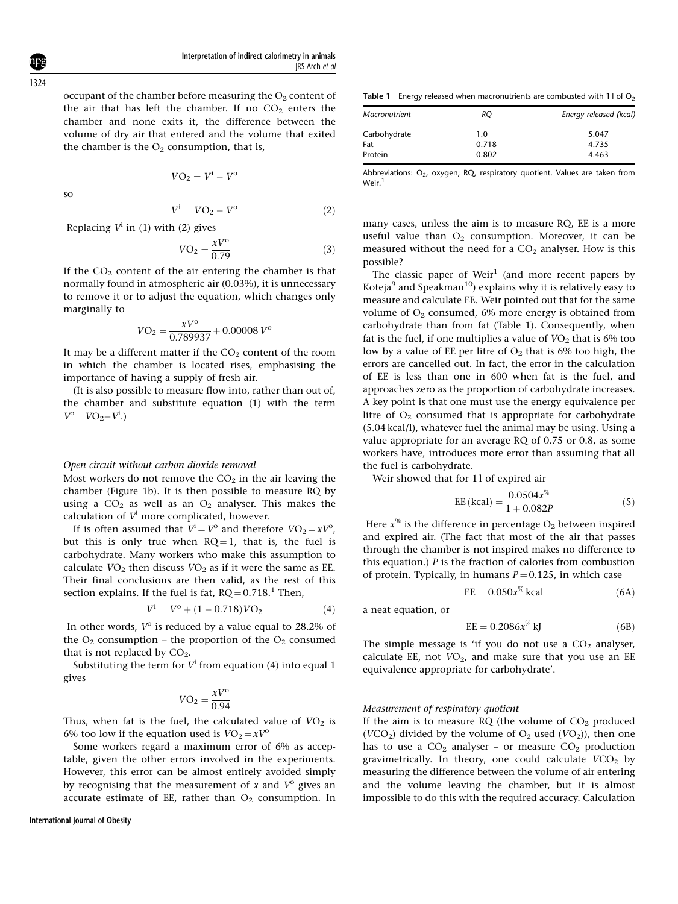occupant of the chamber before measuring the  $O<sub>2</sub>$  content of the air that has left the chamber. If no  $CO<sub>2</sub>$  enters the chamber and none exits it, the difference between the volume of dry air that entered and the volume that exited the chamber is the  $O_2$  consumption, that is,

$$
V\mathrm{O}_2 = V^i - V^o
$$

so

$$
V^i = VO_2 - V^o \tag{2}
$$

Replacing  $V^i$  in (1) with (2) gives

$$
VO_2 = \frac{xV^{\circ}}{0.79}
$$
 (3)

If the  $CO<sub>2</sub>$  content of the air entering the chamber is that normally found in atmospheric air (0.03%), it is unnecessary to remove it or to adjust the equation, which changes only marginally to

$$
VO_2 = \frac{xV^{\rm o}}{0.789937} + 0.00008 V^{\rm o}
$$

It may be a different matter if the  $CO<sub>2</sub>$  content of the room in which the chamber is located rises, emphasising the importance of having a supply of fresh air.

(It is also possible to measure flow into, rather than out of, the chamber and substitute equation (1) with the term  $V^{\rm o} = V O_2 - V^{\rm i}$ .)

### Open circuit without carbon dioxide removal

Most workers do not remove the  $CO<sub>2</sub>$  in the air leaving the chamber (Figure 1b). It is then possible to measure RQ by using a  $CO<sub>2</sub>$  as well as an  $O<sub>2</sub>$  analyser. This makes the calculation of  $V^i$  more complicated, however.

If is often assumed that  $V^i = V^o$  and therefore  $VO_2 = xV^o$ , but this is only true when  $RQ = 1$ , that is, the fuel is carbohydrate. Many workers who make this assumption to calculate  $VO<sub>2</sub>$  then discuss  $VO<sub>2</sub>$  as if it were the same as EE. Their final conclusions are then valid, as the rest of this section explains. If the fuel is fat,  $RQ = 0.718$ .<sup>1</sup> Then,

$$
V^{i} = V^{o} + (1 - 0.718) VO_{2}
$$
 (4)

In other words,  $V^{\circ}$  is reduced by a value equal to 28.2% of the  $O_2$  consumption – the proportion of the  $O_2$  consumed that is not replaced by  $CO<sub>2</sub>$ .

Substituting the term for  $V^i$  from equation (4) into equal 1 gives

$$
VO_2=\frac{xV^o}{0.94}
$$

Thus, when fat is the fuel, the calculated value of  $VO<sub>2</sub>$  is 6% too low if the equation used is  $VO_2 = xV^{\circ}$ 

Some workers regard a maximum error of 6% as acceptable, given the other errors involved in the experiments. However, this error can be almost entirely avoided simply by recognising that the measurement of x and  $V^{\circ}$  gives an accurate estimate of EE, rather than  $O<sub>2</sub>$  consumption. In

Table 1 Energy released when macronutrients are combusted with  $11$  of O<sub>2</sub>

| Macronutrient | RО    | Energy released (kcal) |
|---------------|-------|------------------------|
| Carbohydrate  | 1.0   | 5.047                  |
| Fat           | 0.718 | 4.735                  |
| Protein       | 0.802 | 4.463                  |

Abbreviations:  $O_2$ , oxygen; RQ, respiratory quotient. Values are taken from Weir.<sup>1</sup>

many cases, unless the aim is to measure RQ, EE is a more useful value than  $O_2$  consumption. Moreover, it can be measured without the need for a  $CO<sub>2</sub>$  analyser. How is this possible?

The classic paper of Weir<sup>1</sup> (and more recent papers by Koteja $9$  and Speakman<sup>10</sup>) explains why it is relatively easy to measure and calculate EE. Weir pointed out that for the same volume of  $O<sub>2</sub>$  consumed, 6% more energy is obtained from carbohydrate than from fat (Table 1). Consequently, when fat is the fuel, if one multiplies a value of  $VO<sub>2</sub>$  that is 6% too low by a value of EE per litre of  $O_2$  that is 6% too high, the errors are cancelled out. In fact, the error in the calculation of EE is less than one in 600 when fat is the fuel, and approaches zero as the proportion of carbohydrate increases. A key point is that one must use the energy equivalence per litre of  $O<sub>2</sub>$  consumed that is appropriate for carbohydrate (5.04 kcal/l), whatever fuel the animal may be using. Using a value appropriate for an average RQ of 0.75 or 0.8, as some workers have, introduces more error than assuming that all the fuel is carbohydrate.

Weir showed that for 11 of expired air

$$
EE (kcal) = \frac{0.0504x^{\%}}{1 + 0.082P}
$$
 (5)

Here  $x^{\%}$  is the difference in percentage O<sub>2</sub> between inspired and expired air. (The fact that most of the air that passes through the chamber is not inspired makes no difference to this equation.)  $P$  is the fraction of calories from combustion of protein. Typically, in humans  $P = 0.125$ , in which case

$$
EE = 0.050x^{\%} \text{ kcal} \tag{6A}
$$

a neat equation, or

$$
EE = 0.2086x^{\%} \text{ kJ}
$$
 (6B)

The simple message is 'if you do not use a  $CO<sub>2</sub>$  analyser, calculate EE, not  $VO<sub>2</sub>$ , and make sure that you use an EE equivalence appropriate for carbohydrate'.

#### Measurement of respiratory quotient

If the aim is to measure RQ (the volume of  $CO<sub>2</sub>$  produced  $(VCO<sub>2</sub>)$  divided by the volume of  $O<sub>2</sub>$  used  $(VO<sub>2</sub>)$ ), then one has to use a  $CO<sub>2</sub>$  analyser – or measure  $CO<sub>2</sub>$  production gravimetrically. In theory, one could calculate  $VCO<sub>2</sub>$  by measuring the difference between the volume of air entering and the volume leaving the chamber, but it is almost impossible to do this with the required accuracy. Calculation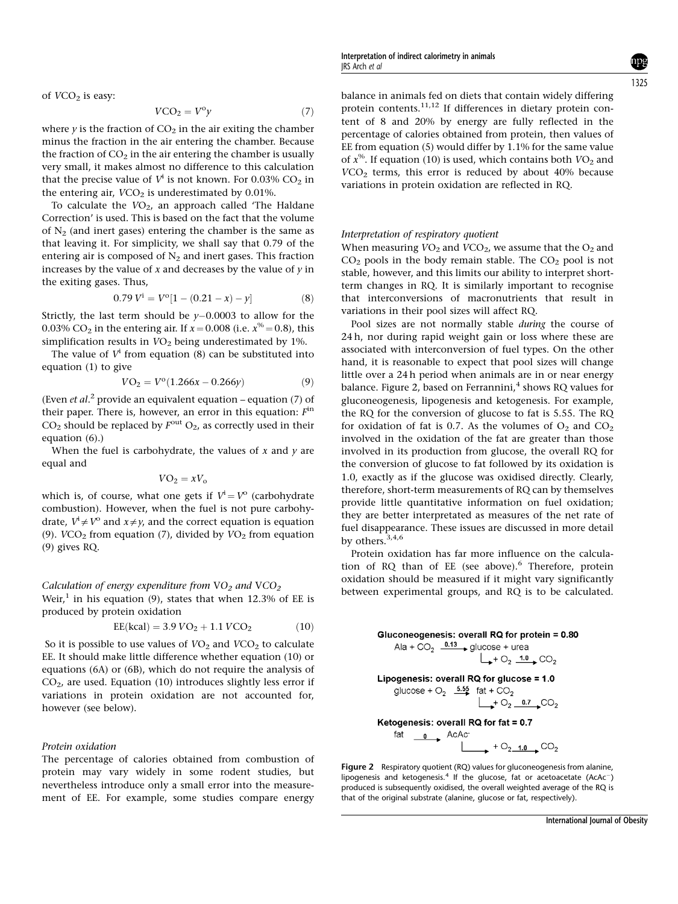of  $VCO<sub>2</sub>$  is easy:

$$
VCO_2 = V^0 \gamma \tag{7}
$$

where  $y$  is the fraction of  $CO<sub>2</sub>$  in the air exiting the chamber minus the fraction in the air entering the chamber. Because the fraction of  $CO<sub>2</sub>$  in the air entering the chamber is usually very small, it makes almost no difference to this calculation that the precise value of  $V^i$  is not known. For 0.03% CO<sub>2</sub> in the entering air,  $VCO<sub>2</sub>$  is underestimated by 0.01%.

To calculate the  $VO<sub>2</sub>$ , an approach called 'The Haldane Correction' is used. This is based on the fact that the volume of  $N_2$  (and inert gases) entering the chamber is the same as that leaving it. For simplicity, we shall say that 0.79 of the entering air is composed of  $N_2$  and inert gases. This fraction increases by the value of  $x$  and decreases by the value of  $y$  in the exiting gases. Thus,

$$
0.79 V^{i} = V^{o}[1 - (0.21 - x) - y]
$$
 (8)

Strictly, the last term should be  $y$ –0.0003 to allow for the 0.03% CO<sub>2</sub> in the entering air. If  $x = 0.008$  (i.e.  $x^{\%} = 0.8$ ), this simplification results in  $VO<sub>2</sub>$  being underestimated by 1%.

The value of  $V^i$  from equation (8) can be substituted into equation (1) to give

$$
VO_2 = V^o(1.266x - 0.266y)
$$
\n(9)

(Even et al.<sup>2</sup> provide an equivalent equation – equation  $(7)$  of their paper. There is, however, an error in this equation:  $F<sup>in</sup>$  $CO<sub>2</sub>$  should be replaced by  $F<sup>out</sup> O<sub>2</sub>$ , as correctly used in their equation (6).)

When the fuel is carbohydrate, the values of  $x$  and  $y$  are equal and

$$
V\mathrm{O}_2 = xV_o
$$

which is, of course, what one gets if  $V^i = V^{\circ}$  (carbohydrate combustion). However, when the fuel is not pure carbohydrate,  $V^i \neq V^{\circ}$  and  $x \neq y$ , and the correct equation is equation (9).  $VCO<sub>2</sub>$  from equation (7), divided by  $VO<sub>2</sub>$  from equation (9) gives RQ.

Calculation of energy expenditure from  $VO<sub>2</sub>$  and  $VCO<sub>2</sub>$ Weir, $<sup>1</sup>$  in his equation (9), states that when 12.3% of EE is</sup> produced by protein oxidation

$$
EE(kcal) = 3.9 \text{ VO}_2 + 1.1 \text{ VCO}_2 \tag{10}
$$

So it is possible to use values of  $VO<sub>2</sub>$  and  $VCO<sub>2</sub>$  to calculate EE. It should make little difference whether equation (10) or equations (6A) or (6B), which do not require the analysis of  $CO<sub>2</sub>$ , are used. Equation (10) introduces slightly less error if variations in protein oxidation are not accounted for, however (see below).

#### Protein oxidation

The percentage of calories obtained from combustion of protein may vary widely in some rodent studies, but nevertheless introduce only a small error into the measurement of EE. For example, some studies compare energy

balance in animals fed on diets that contain widely differing protein contents.11,12 If differences in dietary protein content of 8 and 20% by energy are fully reflected in the percentage of calories obtained from protein, then values of EE from equation (5) would differ by 1.1% for the same value of  $x^{\%}$ . If equation (10) is used, which contains both  $VO_2$  and  $VCO<sub>2</sub>$  terms, this error is reduced by about 40% because variations in protein oxidation are reflected in RQ.

#### Interpretation of respiratory quotient

When measuring  $VO_2$  and  $VCO_2$ , we assume that the  $O_2$  and  $CO<sub>2</sub>$  pools in the body remain stable. The  $CO<sub>2</sub>$  pool is not stable, however, and this limits our ability to interpret shortterm changes in RQ. It is similarly important to recognise that interconversions of macronutrients that result in variations in their pool sizes will affect RQ.

Pool sizes are not normally stable during the course of 24 h, nor during rapid weight gain or loss where these are associated with interconversion of fuel types. On the other hand, it is reasonable to expect that pool sizes will change little over a 24 h period when animals are in or near energy balance. Figure 2, based on Ferrannini, $<sup>4</sup>$  shows RQ values for</sup> gluconeogenesis, lipogenesis and ketogenesis. For example, the RQ for the conversion of glucose to fat is 5.55. The RQ for oxidation of fat is 0.7. As the volumes of  $O_2$  and  $CO_2$ involved in the oxidation of the fat are greater than those involved in its production from glucose, the overall RQ for the conversion of glucose to fat followed by its oxidation is 1.0, exactly as if the glucose was oxidised directly. Clearly, therefore, short-term measurements of RQ can by themselves provide little quantitative information on fuel oxidation; they are better interpretated as measures of the net rate of fuel disappearance. These issues are discussed in more detail by others.<sup>3,4,6</sup>

Protein oxidation has far more influence on the calculation of RO than of EE (see above).<sup>6</sup> Therefore, protein oxidation should be measured if it might vary significantly between experimental groups, and RQ is to be calculated.



Figure 2 Respiratory quotient (RQ) values for gluconeogenesis from alanine, lipogenesis and ketogenesis.<sup>4</sup> If the glucose, fat or acetoacetate (AcAc<sup>-</sup>) produced is subsequently oxidised, the overall weighted average of the RQ is that of the original substrate (alanine, glucose or fat, respectively).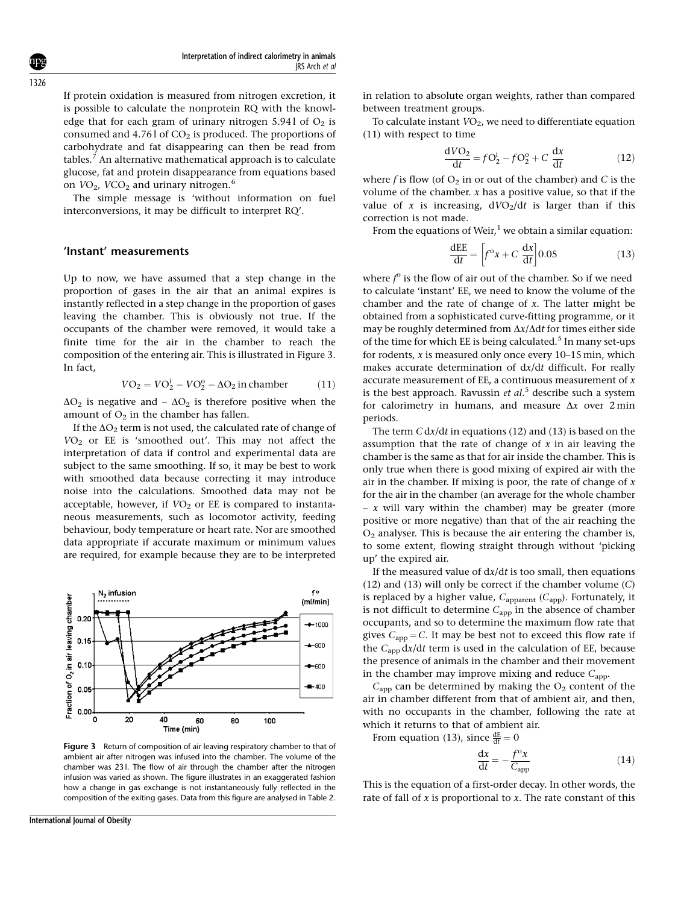If protein oxidation is measured from nitrogen excretion, it is possible to calculate the nonprotein RQ with the knowledge that for each gram of urinary nitrogen 5.941 of  $O<sub>2</sub>$  is consumed and  $4.761$  of  $CO<sub>2</sub>$  is produced. The proportions of carbohydrate and fat disappearing can then be read from tables.<sup>7</sup> An alternative mathematical approach is to calculate glucose, fat and protein disappearance from equations based on  $VO_2$ ,  $VCO_2$  and urinary nitrogen.<sup>6</sup>

The simple message is 'without information on fuel interconversions, it may be difficult to interpret RQ'.

## 'Instant' measurements

Up to now, we have assumed that a step change in the proportion of gases in the air that an animal expires is instantly reflected in a step change in the proportion of gases leaving the chamber. This is obviously not true. If the occupants of the chamber were removed, it would take a finite time for the air in the chamber to reach the composition of the entering air. This is illustrated in Figure 3. In fact,

$$
VO_2 = VO_2^i - VO_2^o - \Delta O_2 \text{ in chamber} \tag{11}
$$

 $\Delta O_2$  is negative and –  $\Delta O_2$  is therefore positive when the amount of  $O_2$  in the chamber has fallen.

If the  $\Delta O_2$  term is not used, the calculated rate of change of VO2 or EE is 'smoothed out'. This may not affect the interpretation of data if control and experimental data are subject to the same smoothing. If so, it may be best to work with smoothed data because correcting it may introduce noise into the calculations. Smoothed data may not be acceptable, however, if  $VO<sub>2</sub>$  or EE is compared to instantaneous measurements, such as locomotor activity, feeding behaviour, body temperature or heart rate. Nor are smoothed data appropriate if accurate maximum or minimum values are required, for example because they are to be interpreted



Figure 3 Return of composition of air leaving respiratory chamber to that of ambient air after nitrogen was infused into the chamber. The volume of the chamber was 23 l. The flow of air through the chamber after the nitrogen infusion was varied as shown. The figure illustrates in an exaggerated fashion how a change in gas exchange is not instantaneously fully reflected in the composition of the exiting gases. Data from this figure are analysed in Table 2.

International Journal of Obesity

in relation to absolute organ weights, rather than compared between treatment groups.

To calculate instant  $VO<sub>2</sub>$ , we need to differentiate equation (11) with respect to time

$$
\frac{\mathrm{d}VO_2}{\mathrm{d}t} = fO_2^i - fO_2^o + C\,\frac{\mathrm{d}x}{\mathrm{d}t} \tag{12}
$$

where f is flow (of  $O_2$  in or out of the chamber) and C is the volume of the chamber.  $x$  has a positive value, so that if the value of x is increasing,  $d\text{VO}_2/dt$  is larger than if this correction is not made.

From the equations of Weir, $<sup>1</sup>$  we obtain a similar equation:</sup>

$$
\frac{\text{dEE}}{\text{d}t} = \left[ f^{\text{o}}x + C \frac{\text{d}x}{\text{d}t} \right] 0.05 \tag{13}
$$

where  $f^{\circ}$  is the flow of air out of the chamber. So if we need to calculate 'instant' EE, we need to know the volume of the chamber and the rate of change of  $x$ . The latter might be obtained from a sophisticated curve-fitting programme, or it may be roughly determined from  $\Delta x/\Delta dt$  for times either side of the time for which EE is being calculated. $5$  In many set-ups for rodents, x is measured only once every 10–15 min, which makes accurate determination of dx/dt difficult. For really accurate measurement of EE, a continuous measurement of  $x$ is the best approach. Ravussin *et al*.<sup>5</sup> describe such a system for calorimetry in humans, and measure  $\Delta x$  over 2 min periods.

The term  $C \frac{dx}{dt}$  in equations (12) and (13) is based on the assumption that the rate of change of  $x$  in air leaving the chamber is the same as that for air inside the chamber. This is only true when there is good mixing of expired air with the air in the chamber. If mixing is poor, the rate of change of  $x$ for the air in the chamber (an average for the whole chamber  $- x$  will vary within the chamber) may be greater (more positive or more negative) than that of the air reaching the  $O<sub>2</sub>$  analyser. This is because the air entering the chamber is, to some extent, flowing straight through without 'picking up' the expired air.

If the measured value of  $dx/dt$  is too small, then equations (12) and (13) will only be correct if the chamber volume  $(C)$ is replaced by a higher value,  $C_{\text{apparent}}$  ( $C_{\text{app}}$ ). Fortunately, it is not difficult to determine  $C_{\text{app}}$  in the absence of chamber occupants, and so to determine the maximum flow rate that gives  $C_{\text{app}} = C$ . It may be best not to exceed this flow rate if the  $C_{app} dx/dt$  term is used in the calculation of EE, because the presence of animals in the chamber and their movement in the chamber may improve mixing and reduce  $C_{\text{app}}$ .

 $C<sub>ann</sub>$  can be determined by making the  $O<sub>2</sub>$  content of the air in chamber different from that of ambient air, and then, with no occupants in the chamber, following the rate at which it returns to that of ambient air.

From equation (13), since  $\frac{dE}{dt} = 0$ 

$$
\frac{\mathrm{d}x}{\mathrm{d}t} = -\frac{f^{\circ}x}{C_{\mathrm{app}}} \tag{14}
$$

This is the equation of a first-order decay. In other words, the rate of fall of x is proportional to x. The rate constant of this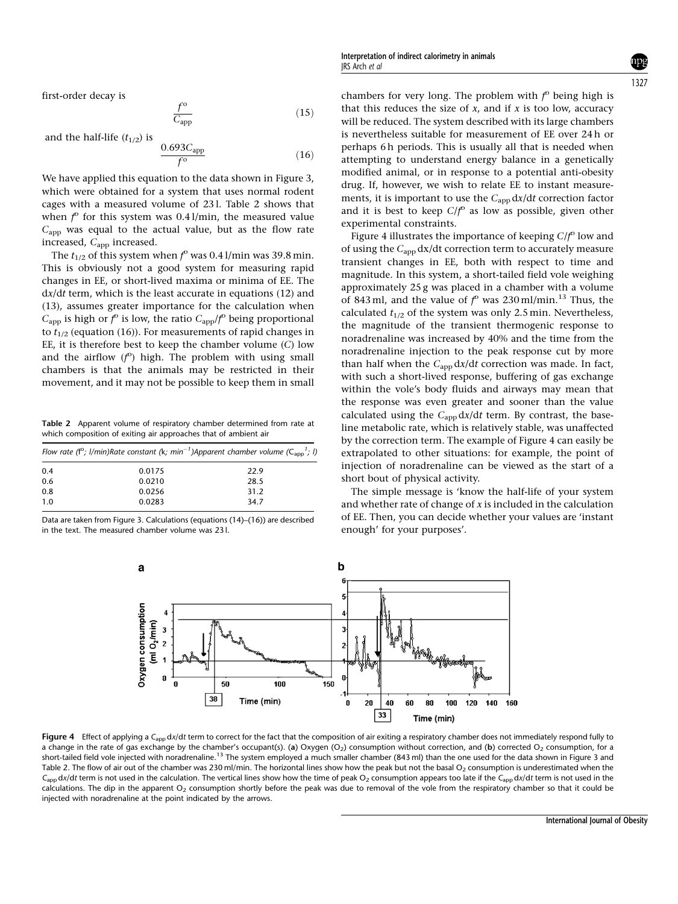first-order decay is

$$
\frac{f^{\circ}}{C_{\text{app}}}
$$
 (15)

and the half-life  $(t_{1/2})$  is

$$
\frac{0.693C_{app}}{f^{\circ}}\tag{16}
$$

We have applied this equation to the data shown in Figure 3, which were obtained for a system that uses normal rodent cages with a measured volume of 23 l. Table 2 shows that when  $f^{\circ}$  for this system was 0.41/min, the measured value  $C_{\text{app}}$  was equal to the actual value, but as the flow rate increased, C<sub>app</sub> increased.

The  $t_{1/2}$  of this system when  $f^{\circ}$  was 0.41/min was 39.8 min. This is obviously not a good system for measuring rapid changes in EE, or short-lived maxima or minima of EE. The dx/dt term, which is the least accurate in equations (12) and (13), assumes greater importance for the calculation when  $C_{\text{app}}$  is high or  $f^{\circ}$  is low, the ratio  $C_{\text{app}}/f^{\circ}$  being proportional to  $t_{1/2}$  (equation (16)). For measurements of rapid changes in EE, it is therefore best to keep the chamber volume (C) low and the airflow  $(f^0)$  high. The problem with using small chambers is that the animals may be restricted in their movement, and it may not be possible to keep them in small

Table 2 Apparent volume of respiratory chamber determined from rate at which composition of exiting air approaches that of ambient air

| Flow rate (f°; l/min)Rate constant (k; min <sup>-1</sup> )Apparent chamber volume ( $C_{app}$ <sup>1</sup> ; l) |      |  |  |
|-----------------------------------------------------------------------------------------------------------------|------|--|--|
| 0.0175                                                                                                          | 22.9 |  |  |
| 0.0210                                                                                                          | 28.5 |  |  |
| 0.0256                                                                                                          | 31.2 |  |  |
| 0.0283                                                                                                          | 34.7 |  |  |
|                                                                                                                 |      |  |  |

Data are taken from Figure 3. Calculations (equations (14)–(16)) are described in the text. The measured chamber volume was 23 l.

chambers for very long. The problem with  $f^{\circ}$  being high is that this reduces the size of x, and if x is too low, accuracy will be reduced. The system described with its large chambers is nevertheless suitable for measurement of EE over 24 h or perhaps 6 h periods. This is usually all that is needed when attempting to understand energy balance in a genetically modified animal, or in response to a potential anti-obesity drug. If, however, we wish to relate EE to instant measurements, it is important to use the  $C_{app} dx/dt$  correction factor and it is best to keep  $C/f^{\circ}$  as low as possible, given other experimental constraints.

Figure 4 illustrates the importance of keeping  $C/f^{\circ}$  low and of using the  $C_{app}$  dx/dt correction term to accurately measure transient changes in EE, both with respect to time and magnitude. In this system, a short-tailed field vole weighing approximately 25 g was placed in a chamber with a volume of 843 ml, and the value of  $f^{\circ}$  was 230 ml/min.<sup>13</sup> Thus, the calculated  $t_{1/2}$  of the system was only 2.5 min. Nevertheless, the magnitude of the transient thermogenic response to noradrenaline was increased by 40% and the time from the noradrenaline injection to the peak response cut by more than half when the  $C<sub>app</sub> dx/dt$  correction was made. In fact, with such a short-lived response, buffering of gas exchange within the vole's body fluids and airways may mean that the response was even greater and sooner than the value calculated using the  $C_{app} dx/dt$  term. By contrast, the baseline metabolic rate, which is relatively stable, was unaffected by the correction term. The example of Figure 4 can easily be extrapolated to other situations: for example, the point of injection of noradrenaline can be viewed as the start of a short bout of physical activity.

The simple message is 'know the half-life of your system and whether rate of change of  $x$  is included in the calculation of EE. Then, you can decide whether your values are 'instant enough' for your purposes'.



Figure 4 Effect of applying a C<sub>app</sub> dx/dt term to correct for the fact that the composition of air exiting a respiratory chamber does not immediately respond fully to a change in the rate of gas exchange by the chamber's occupant(s). (a) Oxygen (O<sub>2</sub>) consumption without correction, and (b) corrected O<sub>2</sub> consumption, for a short-tailed field vole injected with noradrenaline.<sup>13</sup> The system employed a much smaller chamber (843 ml) than the one used for the data shown in Figure 3 and Table 2. The flow of air out of the chamber was 230 ml/min. The horizontal lines show how the peak but not the basal O<sub>2</sub> consumption is underestimated when the  $C_{\text{ano}}$  dx/dt term is not used in the calculation. The vertical lines show how the time of peak O<sub>2</sub> consumption appears too late if the C<sub>app</sub> dx/dt term is not used in the calculations. The dip in the apparent  $O_2$  consumption shortly before the peak was due to removal of the vole from the respiratory chamber so that it could be injected with noradrenaline at the point indicated by the arrows.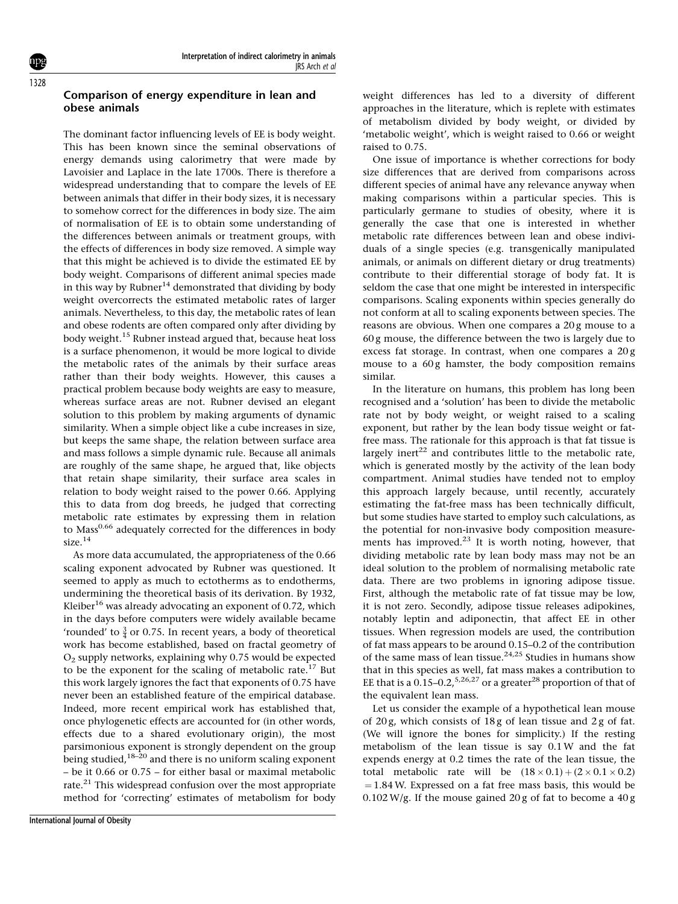## Comparison of energy expenditure in lean and obese animals

The dominant factor influencing levels of EE is body weight. This has been known since the seminal observations of energy demands using calorimetry that were made by Lavoisier and Laplace in the late 1700s. There is therefore a widespread understanding that to compare the levels of EE between animals that differ in their body sizes, it is necessary to somehow correct for the differences in body size. The aim of normalisation of EE is to obtain some understanding of the differences between animals or treatment groups, with the effects of differences in body size removed. A simple way that this might be achieved is to divide the estimated EE by body weight. Comparisons of different animal species made in this way by Rubner $^{14}$  demonstrated that dividing by body weight overcorrects the estimated metabolic rates of larger animals. Nevertheless, to this day, the metabolic rates of lean and obese rodents are often compared only after dividing by body weight.<sup>15</sup> Rubner instead argued that, because heat loss is a surface phenomenon, it would be more logical to divide the metabolic rates of the animals by their surface areas rather than their body weights. However, this causes a practical problem because body weights are easy to measure, whereas surface areas are not. Rubner devised an elegant solution to this problem by making arguments of dynamic similarity. When a simple object like a cube increases in size, but keeps the same shape, the relation between surface area and mass follows a simple dynamic rule. Because all animals are roughly of the same shape, he argued that, like objects that retain shape similarity, their surface area scales in relation to body weight raised to the power 0.66. Applying this to data from dog breeds, he judged that correcting metabolic rate estimates by expressing them in relation to Mass<sup>0.66</sup> adequately corrected for the differences in body size.<sup>14</sup>

As more data accumulated, the appropriateness of the 0.66 scaling exponent advocated by Rubner was questioned. It seemed to apply as much to ectotherms as to endotherms, undermining the theoretical basis of its derivation. By 1932, Kleiber<sup>16</sup> was already advocating an exponent of 0.72, which in the days before computers were widely available became 'rounded' to  $\frac{3}{4}$  or 0.75. In recent years, a body of theoretical work has become established, based on fractal geometry of  $O<sub>2</sub>$  supply networks, explaining why 0.75 would be expected to be the exponent for the scaling of metabolic rate.<sup>17</sup> But this work largely ignores the fact that exponents of 0.75 have never been an established feature of the empirical database. Indeed, more recent empirical work has established that, once phylogenetic effects are accounted for (in other words, effects due to a shared evolutionary origin), the most parsimonious exponent is strongly dependent on the group being studied,  $18-20$  and there is no uniform scaling exponent – be it 0.66 or 0.75 – for either basal or maximal metabolic rate.<sup>21</sup> This widespread confusion over the most appropriate method for 'correcting' estimates of metabolism for body weight differences has led to a diversity of different approaches in the literature, which is replete with estimates of metabolism divided by body weight, or divided by 'metabolic weight', which is weight raised to 0.66 or weight raised to 0.75.

One issue of importance is whether corrections for body size differences that are derived from comparisons across different species of animal have any relevance anyway when making comparisons within a particular species. This is particularly germane to studies of obesity, where it is generally the case that one is interested in whether metabolic rate differences between lean and obese individuals of a single species (e.g. transgenically manipulated animals, or animals on different dietary or drug treatments) contribute to their differential storage of body fat. It is seldom the case that one might be interested in interspecific comparisons. Scaling exponents within species generally do not conform at all to scaling exponents between species. The reasons are obvious. When one compares a 20 g mouse to a 60 g mouse, the difference between the two is largely due to excess fat storage. In contrast, when one compares a 20 g mouse to a  $60 g$  hamster, the body composition remains similar.

In the literature on humans, this problem has long been recognised and a 'solution' has been to divide the metabolic rate not by body weight, or weight raised to a scaling exponent, but rather by the lean body tissue weight or fatfree mass. The rationale for this approach is that fat tissue is largely inert<sup>22</sup> and contributes little to the metabolic rate, which is generated mostly by the activity of the lean body compartment. Animal studies have tended not to employ this approach largely because, until recently, accurately estimating the fat-free mass has been technically difficult, but some studies have started to employ such calculations, as the potential for non-invasive body composition measurements has improved.<sup>23</sup> It is worth noting, however, that dividing metabolic rate by lean body mass may not be an ideal solution to the problem of normalising metabolic rate data. There are two problems in ignoring adipose tissue. First, although the metabolic rate of fat tissue may be low, it is not zero. Secondly, adipose tissue releases adipokines, notably leptin and adiponectin, that affect EE in other tissues. When regression models are used, the contribution of fat mass appears to be around 0.15–0.2 of the contribution of the same mass of lean tissue.24,25 Studies in humans show that in this species as well, fat mass makes a contribution to EE that is a  $0.15-0.2$ ,  $5,26,27$  or a greater<sup>28</sup> proportion of that of the equivalent lean mass.

Let us consider the example of a hypothetical lean mouse of 20 g, which consists of 18 g of lean tissue and 2 g of fat. (We will ignore the bones for simplicity.) If the resting metabolism of the lean tissue is say 0.1W and the fat expends energy at 0.2 times the rate of the lean tissue, the total metabolic rate will be  $(18 \times 0.1) + (2 \times 0.1 \times 0.2)$  $= 1.84$  W. Expressed on a fat free mass basis, this would be  $0.102 \text{ W/g}$ . If the mouse gained  $20 \text{ g}$  of fat to become a  $40 \text{ g}$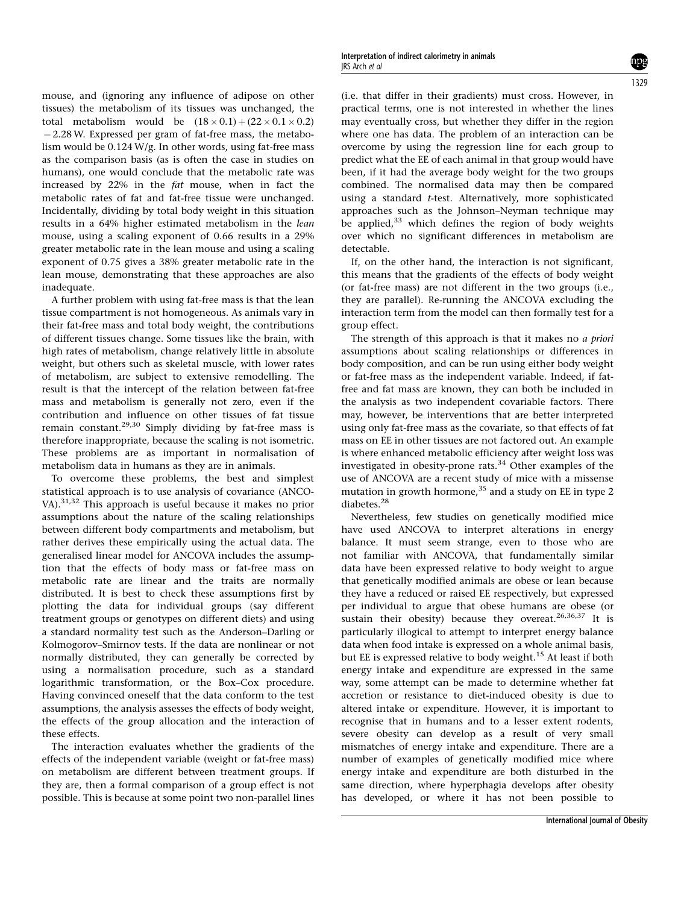mouse, and (ignoring any influence of adipose on other tissues) the metabolism of its tissues was unchanged, the total metabolism would be  $(18 \times 0.1) + (22 \times 0.1 \times 0.2)$  $=$  2.28 W. Expressed per gram of fat-free mass, the metabolism would be 0.124W/g. In other words, using fat-free mass as the comparison basis (as is often the case in studies on humans), one would conclude that the metabolic rate was increased by 22% in the fat mouse, when in fact the metabolic rates of fat and fat-free tissue were unchanged. Incidentally, dividing by total body weight in this situation results in a 64% higher estimated metabolism in the lean mouse, using a scaling exponent of 0.66 results in a 29% greater metabolic rate in the lean mouse and using a scaling exponent of 0.75 gives a 38% greater metabolic rate in the lean mouse, demonstrating that these approaches are also inadequate.

A further problem with using fat-free mass is that the lean tissue compartment is not homogeneous. As animals vary in their fat-free mass and total body weight, the contributions of different tissues change. Some tissues like the brain, with high rates of metabolism, change relatively little in absolute weight, but others such as skeletal muscle, with lower rates of metabolism, are subject to extensive remodelling. The result is that the intercept of the relation between fat-free mass and metabolism is generally not zero, even if the contribution and influence on other tissues of fat tissue remain constant.<sup>29,30</sup> Simply dividing by fat-free mass is therefore inappropriate, because the scaling is not isometric. These problems are as important in normalisation of metabolism data in humans as they are in animals.

To overcome these problems, the best and simplest statistical approach is to use analysis of covariance (ANCO-VA).31,32 This approach is useful because it makes no prior assumptions about the nature of the scaling relationships between different body compartments and metabolism, but rather derives these empirically using the actual data. The generalised linear model for ANCOVA includes the assumption that the effects of body mass or fat-free mass on metabolic rate are linear and the traits are normally distributed. It is best to check these assumptions first by plotting the data for individual groups (say different treatment groups or genotypes on different diets) and using a standard normality test such as the Anderson–Darling or Kolmogorov–Smirnov tests. If the data are nonlinear or not normally distributed, they can generally be corrected by using a normalisation procedure, such as a standard logarithmic transformation, or the Box–Cox procedure. Having convinced oneself that the data conform to the test assumptions, the analysis assesses the effects of body weight, the effects of the group allocation and the interaction of these effects.

The interaction evaluates whether the gradients of the effects of the independent variable (weight or fat-free mass) on metabolism are different between treatment groups. If they are, then a formal comparison of a group effect is not possible. This is because at some point two non-parallel lines

(i.e. that differ in their gradients) must cross. However, in practical terms, one is not interested in whether the lines may eventually cross, but whether they differ in the region where one has data. The problem of an interaction can be overcome by using the regression line for each group to predict what the EE of each animal in that group would have been, if it had the average body weight for the two groups combined. The normalised data may then be compared using a standard t-test. Alternatively, more sophisticated approaches such as the Johnson–Neyman technique may be applied,<sup>33</sup> which defines the region of body weights over which no significant differences in metabolism are detectable.

If, on the other hand, the interaction is not significant, this means that the gradients of the effects of body weight (or fat-free mass) are not different in the two groups (i.e., they are parallel). Re-running the ANCOVA excluding the interaction term from the model can then formally test for a group effect.

The strength of this approach is that it makes no a priori assumptions about scaling relationships or differences in body composition, and can be run using either body weight or fat-free mass as the independent variable. Indeed, if fatfree and fat mass are known, they can both be included in the analysis as two independent covariable factors. There may, however, be interventions that are better interpreted using only fat-free mass as the covariate, so that effects of fat mass on EE in other tissues are not factored out. An example is where enhanced metabolic efficiency after weight loss was investigated in obesity-prone rats.<sup>34</sup> Other examples of the use of ANCOVA are a recent study of mice with a missense mutation in growth hormone,  $35$  and a study on EE in type 2 diabetes.28

Nevertheless, few studies on genetically modified mice have used ANCOVA to interpret alterations in energy balance. It must seem strange, even to those who are not familiar with ANCOVA, that fundamentally similar data have been expressed relative to body weight to argue that genetically modified animals are obese or lean because they have a reduced or raised EE respectively, but expressed per individual to argue that obese humans are obese (or sustain their obesity) because they overeat.<sup>26,36,37</sup> It is particularly illogical to attempt to interpret energy balance data when food intake is expressed on a whole animal basis, but EE is expressed relative to body weight.<sup>15</sup> At least if both energy intake and expenditure are expressed in the same way, some attempt can be made to determine whether fat accretion or resistance to diet-induced obesity is due to altered intake or expenditure. However, it is important to recognise that in humans and to a lesser extent rodents, severe obesity can develop as a result of very small mismatches of energy intake and expenditure. There are a number of examples of genetically modified mice where energy intake and expenditure are both disturbed in the same direction, where hyperphagia develops after obesity has developed, or where it has not been possible to

1329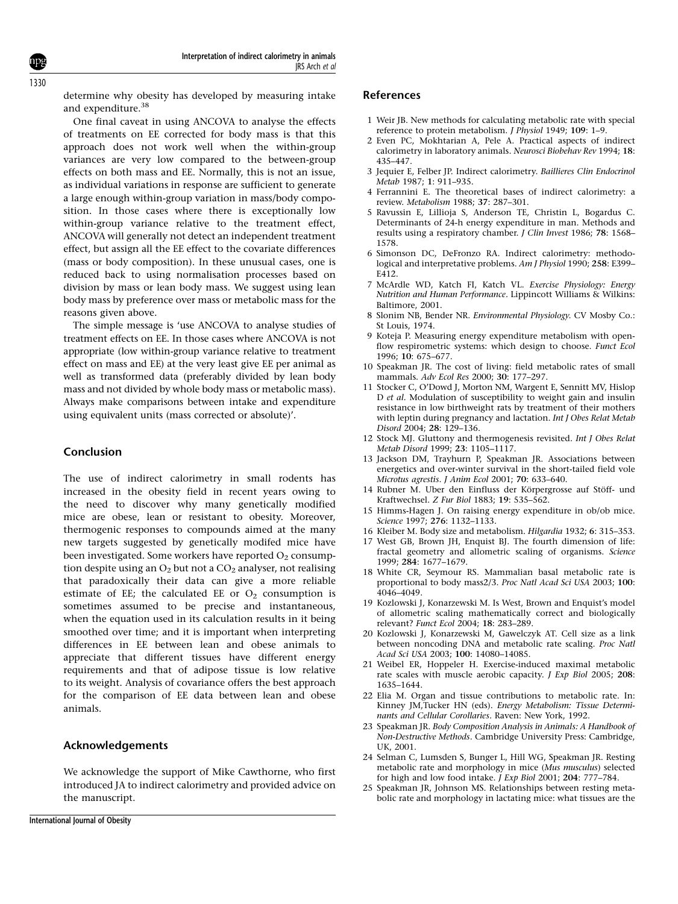determine why obesity has developed by measuring intake and expenditure.<sup>38</sup>

One final caveat in using ANCOVA to analyse the effects of treatments on EE corrected for body mass is that this approach does not work well when the within-group variances are very low compared to the between-group effects on both mass and EE. Normally, this is not an issue, as individual variations in response are sufficient to generate a large enough within-group variation in mass/body composition. In those cases where there is exceptionally low within-group variance relative to the treatment effect, ANCOVA will generally not detect an independent treatment effect, but assign all the EE effect to the covariate differences (mass or body composition). In these unusual cases, one is reduced back to using normalisation processes based on division by mass or lean body mass. We suggest using lean body mass by preference over mass or metabolic mass for the reasons given above.

The simple message is 'use ANCOVA to analyse studies of treatment effects on EE. In those cases where ANCOVA is not appropriate (low within-group variance relative to treatment effect on mass and EE) at the very least give EE per animal as well as transformed data (preferably divided by lean body mass and not divided by whole body mass or metabolic mass). Always make comparisons between intake and expenditure using equivalent units (mass corrected or absolute)'.

### Conclusion

The use of indirect calorimetry in small rodents has increased in the obesity field in recent years owing to the need to discover why many genetically modified mice are obese, lean or resistant to obesity. Moreover, thermogenic responses to compounds aimed at the many new targets suggested by genetically modifed mice have been investigated. Some workers have reported  $O<sub>2</sub>$  consumption despite using an  $O_2$  but not a  $CO_2$  analyser, not realising that paradoxically their data can give a more reliable estimate of EE; the calculated EE or  $O<sub>2</sub>$  consumption is sometimes assumed to be precise and instantaneous, when the equation used in its calculation results in it being smoothed over time; and it is important when interpreting differences in EE between lean and obese animals to appreciate that different tissues have different energy requirements and that of adipose tissue is low relative to its weight. Analysis of covariance offers the best approach for the comparison of EE data between lean and obese animals.

### Acknowledgements

We acknowledge the support of Mike Cawthorne, who first introduced JA to indirect calorimetry and provided advice on the manuscript.

#### References

- 1 Weir JB. New methods for calculating metabolic rate with special reference to protein metabolism. J Physiol 1949; 109: 1–9.
- 2 Even PC, Mokhtarian A, Pele A. Practical aspects of indirect calorimetry in laboratory animals. Neurosci Biobehav Rev 1994; 18: 435–447.
- 3 Jequier E, Felber JP. Indirect calorimetry. Baillieres Clin Endocrinol Metab 1987; 1: 911–935.
- 4 Ferrannini E. The theoretical bases of indirect calorimetry: a review. Metabolism 1988; 37: 287–301.
- 5 Ravussin E, Lillioja S, Anderson TE, Christin L, Bogardus C. Determinants of 24-h energy expenditure in man. Methods and results using a respiratory chamber. J Clin Invest 1986; 78: 1568– 1578.
- 6 Simonson DC, DeFronzo RA. Indirect calorimetry: methodological and interpretative problems. Am J Physiol 1990; 258: E399– E412.
- 7 McArdle WD, Katch FI, Katch VL. Exercise Physiology: Energy Nutrition and Human Performance. Lippincott Williams & Wilkins: Baltimore, 2001.
- 8 Slonim NB, Bender NR. Environmental Physiology. CV Mosby Co.: St Louis, 1974.
- 9 Koteja P. Measuring energy expenditure metabolism with openflow respirometric systems: which design to choose. Funct Ecol 1996; 10: 675–677.
- 10 Speakman JR. The cost of living: field metabolic rates of small mammals. Adv Ecol Res 2000; 30: 177–297.
- 11 Stocker C, O'Dowd J, Morton NM, Wargent E, Sennitt MV, Hislop D et al. Modulation of susceptibility to weight gain and insulin resistance in low birthweight rats by treatment of their mothers with leptin during pregnancy and lactation. Int J Obes Relat Metab Disord 2004; 28: 129–136.
- 12 Stock MJ. Gluttony and thermogenesis revisited. Int J Obes Relat Metab Disord 1999; 23: 1105–1117.
- 13 Jackson DM, Trayhurn P, Speakman JR. Associations between energetics and over-winter survival in the short-tailed field vole Microtus agrestis. J Anim Ecol 2001; 70: 633–640.
- 14 Rubner M. Uber den Einfluss der Körpergrosse auf Stöff- und Kraftwechsel. Z Fur Biol 1883; 19: 535–562.
- 15 Himms-Hagen J. On raising energy expenditure in ob/ob mice. Science 1997; 276: 1132–1133.
- 16 Kleiber M. Body size and metabolism. Hilgardia 1932; 6: 315–353.
- 17 West GB, Brown JH, Enquist BJ. The fourth dimension of life: fractal geometry and allometric scaling of organisms. Science 1999; 284: 1677–1679.
- 18 White CR, Seymour RS. Mammalian basal metabolic rate is proportional to body mass2/3. Proc Natl Acad Sci USA 2003; 100: 4046–4049.
- 19 Kozlowski J, Konarzewski M. Is West, Brown and Enquist's model of allometric scaling mathematically correct and biologically relevant? Funct Ecol 2004; 18: 283–289.
- 20 Kozlowski J, Konarzewski M, Gawelczyk AT. Cell size as a link between noncoding DNA and metabolic rate scaling. Proc Natl Acad Sci USA 2003; 100: 14080–14085.
- 21 Weibel ER, Hoppeler H. Exercise-induced maximal metabolic rate scales with muscle aerobic capacity. J Exp Biol 2005; 208: 1635–1644.
- 22 Elia M. Organ and tissue contributions to metabolic rate. In: Kinney JM,Tucker HN (eds). Energy Metabolism: Tissue Determinants and Cellular Corollaries. Raven: New York, 1992.
- 23 Speakman JR. Body Composition Analysis in Animals: A Handbook of Non-Destructive Methods. Cambridge University Press: Cambridge, UK, 2001.
- 24 Selman C, Lumsden S, Bunger L, Hill WG, Speakman JR. Resting metabolic rate and morphology in mice (Mus musculus) selected for high and low food intake. J Exp Biol 2001; 204: 777–784.
- 25 Speakman JR, Johnson MS. Relationships between resting metabolic rate and morphology in lactating mice: what tissues are the